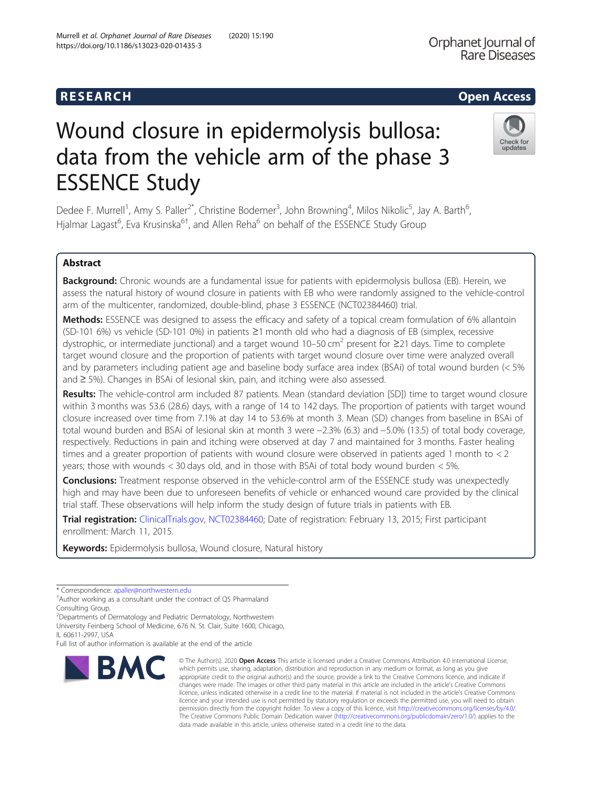# **RESEARCH CHEAR CHEAR CHEAR CHEAR CHEAR CHEAR CHEAR CHEAR CHEAR CHEAR CHEAR CHEAR CHEAR CHEAR CHEAR CHEAR CHEAR**

# Wound closure in epidermolysis bullosa: data from the vehicle arm of the phase 3 ESSENCE Study

Dedee F. Murrell<sup>1</sup>, Amy S. Paller<sup>2\*</sup>, Christine Bodemer<sup>3</sup>, John Browning<sup>4</sup>, Milos Nikolic<sup>5</sup>, Jay A. Barth<sup>6</sup> , Hjalmar Lagast<sup>6</sup>, Eva Krusinska<sup>6†</sup>, and Allen Reha<sup>6</sup> on behalf of the ESSENCE Study Group

# Abstract

Background: Chronic wounds are a fundamental issue for patients with epidermolysis bullosa (EB). Herein, we assess the natural history of wound closure in patients with EB who were randomly assigned to the vehicle-control arm of the multicenter, randomized, double-blind, phase 3 ESSENCE (NCT02384460) trial.

Methods: ESSENCE was designed to assess the efficacy and safety of a topical cream formulation of 6% allantoin (SD-101 6%) vs vehicle (SD-101 0%) in patients ≥1 month old who had a diagnosis of EB (simplex, recessive dystrophic, or intermediate junctional) and a target wound  $10-50 \text{ cm}^2$  present for  $\geq$ 21 days. Time to complete target wound closure and the proportion of patients with target wound closure over time were analyzed overall and by parameters including patient age and baseline body surface area index (BSAi) of total wound burden (< 5% and ≥ 5%). Changes in BSAi of lesional skin, pain, and itching were also assessed.

Results: The vehicle-control arm included 87 patients. Mean (standard deviation [SD]) time to target wound closure within 3 months was 53.6 (28.6) days, with a range of 14 to 142 days. The proportion of patients with target wound closure increased over time from 7.1% at day 14 to 53.6% at month 3. Mean (SD) changes from baseline in BSAi of total wound burden and BSAi of lesional skin at month 3 were −2.3% (6.3) and −5.0% (13.5) of total body coverage, respectively. Reductions in pain and itching were observed at day 7 and maintained for 3 months. Faster healing times and a greater proportion of patients with wound closure were observed in patients aged 1 month to < 2 years; those with wounds < 30 days old, and in those with BSAi of total body wound burden < 5%.

**Conclusions:** Treatment response observed in the vehicle-control arm of the ESSENCE study was unexpectedly high and may have been due to unforeseen benefits of vehicle or enhanced wound care provided by the clinical trial staff. These observations will help inform the study design of future trials in patients with EB.

Trial registration: [ClinicalTrials.gov](http://clinicaltrials.gov), [NCT02384460;](https://clinicaltrials.gov/ct2/show/NCT02384460) Date of registration: February 13, 2015; First participant enrollment: March 11, 2015.

Keywords: Epidermolysis bullosa, Wound closure, Natural history

\* Correspondence: [apaller@northwestern.edu](mailto:apaller@northwestern.edu) †

**BMC** 

2 Departments of Dermatology and Pediatric Dermatology, Northwestern University Feinberg School of Medicine, 676 N. St. Clair, Suite 1600, Chicago, IL 60611-2997, USA

Full list of author information is available at the end of the article

which permits use, sharing, adaptation, distribution and reproduction in any medium or format, as long as you give appropriate credit to the original author(s) and the source, provide a link to the Creative Commons licence, and indicate if changes were made. The images or other third party material in this article are included in the article's Creative Commons licence, unless indicated otherwise in a credit line to the material. If material is not included in the article's Creative Commons licence and your intended use is not permitted by statutory regulation or exceeds the permitted use, you will need to obtain permission directly from the copyright holder. To view a copy of this licence, visit [http://creativecommons.org/licenses/by/4.0/.](http://creativecommons.org/licenses/by/4.0/) The Creative Commons Public Domain Dedication waiver [\(http://creativecommons.org/publicdomain/zero/1.0/](http://creativecommons.org/publicdomain/zero/1.0/)) applies to the data made available in this article, unless otherwise stated in a credit line to the data.

© The Author(s), 2020 **Open Access** This article is licensed under a Creative Commons Attribution 4.0 International License,



Orphanet Journal of **Rare Diseases** 



 $<sup>†</sup>$  Author working as a consultant under the contract of Q5 Pharmaland</sup> Consulting Group.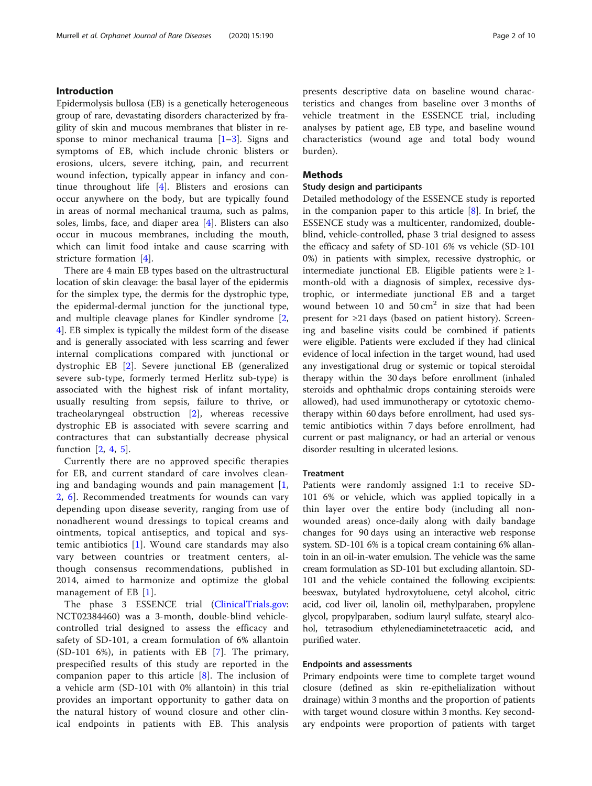# Introduction

Epidermolysis bullosa (EB) is a genetically heterogeneous group of rare, devastating disorders characterized by fragility of skin and mucous membranes that blister in re-sponse to minor mechanical trauma [\[1](#page-9-0)–[3](#page-9-0)]. Signs and symptoms of EB, which include chronic blisters or erosions, ulcers, severe itching, pain, and recurrent wound infection, typically appear in infancy and continue throughout life [[4](#page-9-0)]. Blisters and erosions can occur anywhere on the body, but are typically found in areas of normal mechanical trauma, such as palms, soles, limbs, face, and diaper area [\[4](#page-9-0)]. Blisters can also occur in mucous membranes, including the mouth, which can limit food intake and cause scarring with stricture formation [[4](#page-9-0)].

There are 4 main EB types based on the ultrastructural location of skin cleavage: the basal layer of the epidermis for the simplex type, the dermis for the dystrophic type, the epidermal-dermal junction for the junctional type, and multiple cleavage planes for Kindler syndrome [\[2](#page-9-0), [4\]](#page-9-0). EB simplex is typically the mildest form of the disease and is generally associated with less scarring and fewer internal complications compared with junctional or dystrophic EB [[2\]](#page-9-0). Severe junctional EB (generalized severe sub-type, formerly termed Herlitz sub-type) is associated with the highest risk of infant mortality, usually resulting from sepsis, failure to thrive, or tracheolaryngeal obstruction [[2](#page-9-0)], whereas recessive dystrophic EB is associated with severe scarring and contractures that can substantially decrease physical function [[2,](#page-9-0) [4](#page-9-0), [5](#page-9-0)].

Currently there are no approved specific therapies for EB, and current standard of care involves cleaning and bandaging wounds and pain management  $[1, 1]$  $[1, 1]$ [2,](#page-9-0) [6](#page-9-0)]. Recommended treatments for wounds can vary depending upon disease severity, ranging from use of nonadherent wound dressings to topical creams and ointments, topical antiseptics, and topical and systemic antibiotics [[1\]](#page-9-0). Wound care standards may also vary between countries or treatment centers, although consensus recommendations, published in 2014, aimed to harmonize and optimize the global management of EB [\[1\]](#page-9-0).

The phase 3 ESSENCE trial ([ClinicalTrials.gov](http://clinicaltrials.gov): NCT02384460) was a 3-month, double-blind vehiclecontrolled trial designed to assess the efficacy and safety of SD-101, a cream formulation of 6% allantoin (SD-101 6%), in patients with EB [\[7](#page-9-0)]. The primary, prespecified results of this study are reported in the companion paper to this article [\[8](#page-9-0)]. The inclusion of a vehicle arm (SD-101 with 0% allantoin) in this trial provides an important opportunity to gather data on the natural history of wound closure and other clinical endpoints in patients with EB. This analysis

presents descriptive data on baseline wound characteristics and changes from baseline over 3 months of vehicle treatment in the ESSENCE trial, including analyses by patient age, EB type, and baseline wound characteristics (wound age and total body wound burden).

# Methods

## Study design and participants

Detailed methodology of the ESSENCE study is reported in the companion paper to this article  $[8]$  $[8]$ . In brief, the ESSENCE study was a multicenter, randomized, doubleblind, vehicle-controlled, phase 3 trial designed to assess the efficacy and safety of SD-101 6% vs vehicle (SD-101 0%) in patients with simplex, recessive dystrophic, or intermediate junctional EB. Eligible patients were  $\geq 1$ month-old with a diagnosis of simplex, recessive dystrophic, or intermediate junctional EB and a target wound between 10 and  $50 \text{ cm}^2$  in size that had been present for ≥21 days (based on patient history). Screening and baseline visits could be combined if patients were eligible. Patients were excluded if they had clinical evidence of local infection in the target wound, had used any investigational drug or systemic or topical steroidal therapy within the 30 days before enrollment (inhaled steroids and ophthalmic drops containing steroids were allowed), had used immunotherapy or cytotoxic chemotherapy within 60 days before enrollment, had used systemic antibiotics within 7 days before enrollment, had current or past malignancy, or had an arterial or venous disorder resulting in ulcerated lesions.

# **Treatment**

Patients were randomly assigned 1:1 to receive SD-101 6% or vehicle, which was applied topically in a thin layer over the entire body (including all nonwounded areas) once-daily along with daily bandage changes for 90 days using an interactive web response system. SD-101 6% is a topical cream containing 6% allantoin in an oil-in-water emulsion. The vehicle was the same cream formulation as SD-101 but excluding allantoin. SD-101 and the vehicle contained the following excipients: beeswax, butylated hydroxytoluene, cetyl alcohol, citric acid, cod liver oil, lanolin oil, methylparaben, propylene glycol, propylparaben, sodium lauryl sulfate, stearyl alcohol, tetrasodium ethylenediaminetetraacetic acid, and purified water.

# Endpoints and assessments

Primary endpoints were time to complete target wound closure (defined as skin re-epithelialization without drainage) within 3 months and the proportion of patients with target wound closure within 3 months. Key secondary endpoints were proportion of patients with target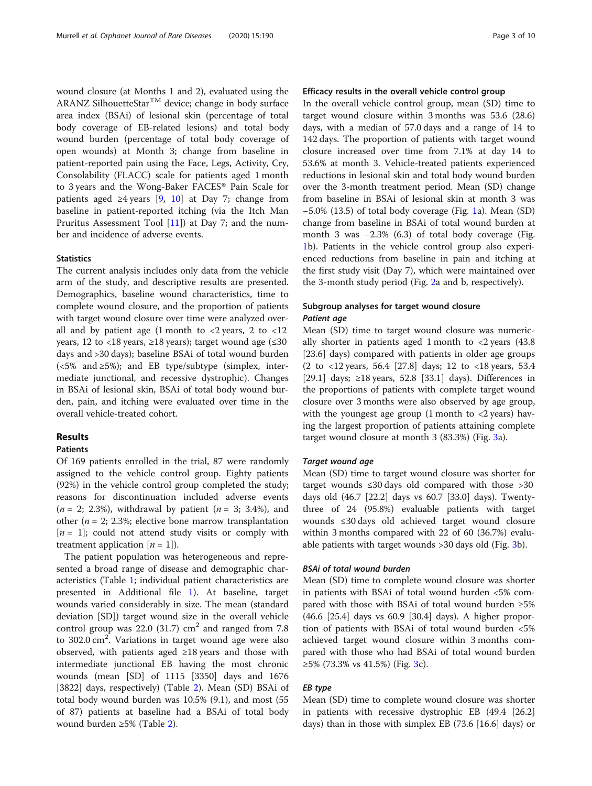wound closure (at Months 1 and 2), evaluated using the ARANZ SilhouetteStar<sup>TM</sup> device; change in body surface area index (BSAi) of lesional skin (percentage of total body coverage of EB-related lesions) and total body wound burden (percentage of total body coverage of open wounds) at Month 3; change from baseline in patient-reported pain using the Face, Legs, Activity, Cry, Consolability (FLACC) scale for patients aged 1 month to 3 years and the Wong-Baker FACES® Pain Scale for patients aged  $\geq 4$  years [[9](#page-9-0), [10\]](#page-9-0) at Day 7; change from baseline in patient-reported itching (via the Itch Man Pruritus Assessment Tool  $[11]$  at Day 7; and the number and incidence of adverse events.

## **Statistics**

The current analysis includes only data from the vehicle arm of the study, and descriptive results are presented. Demographics, baseline wound characteristics, time to complete wound closure, and the proportion of patients with target wound closure over time were analyzed overall and by patient age  $(1 \text{ month to } < 2 \text{ years}, 2 \text{ to } < 12)$ years, 12 to <18 years, ≥18 years); target wound age  $≤30$ days and >30 days); baseline BSAi of total wound burden  $(<5\%$  and  $\geq 5\%)$ ; and EB type/subtype (simplex, intermediate junctional, and recessive dystrophic). Changes in BSAi of lesional skin, BSAi of total body wound burden, pain, and itching were evaluated over time in the overall vehicle-treated cohort.

### Results

# Patients

Of 169 patients enrolled in the trial, 87 were randomly assigned to the vehicle control group. Eighty patients (92%) in the vehicle control group completed the study; reasons for discontinuation included adverse events  $(n = 2; 2.3\%)$ , withdrawal by patient  $(n = 3; 3.4\%)$ , and other ( $n = 2$ ; 2.3%; elective bone marrow transplantation  $[n = 1]$ ; could not attend study visits or comply with treatment application  $[n = 1]$ ).

The patient population was heterogeneous and represented a broad range of disease and demographic characteristics (Table [1](#page-3-0); individual patient characteristics are presented in Additional file [1\)](#page-8-0). At baseline, target wounds varied considerably in size. The mean (standard deviation [SD]) target wound size in the overall vehicle control group was  $22.0$  (31.7)  $\text{cm}^2$  and ranged from 7.8 to 302.0 cm<sup>2</sup>. Variations in target wound age were also observed, with patients aged ≥18 years and those with intermediate junctional EB having the most chronic wounds (mean [SD] of 1115 [3350] days and 1676 [3822] days, respectively) (Table [2\)](#page-4-0). Mean (SD) BSAi of total body wound burden was 10.5% (9.1), and most (55 of 87) patients at baseline had a BSAi of total body wound burden ≥5% (Table [2\)](#page-4-0).

# Efficacy results in the overall vehicle control group

In the overall vehicle control group, mean (SD) time to target wound closure within 3 months was 53.6 (28.6) days, with a median of 57.0 days and a range of 14 to 142 days. The proportion of patients with target wound closure increased over time from 7.1% at day 14 to 53.6% at month 3. Vehicle-treated patients experienced reductions in lesional skin and total body wound burden over the 3-month treatment period. Mean (SD) change from baseline in BSAi of lesional skin at month 3 was −5.0% (13.5) of total body coverage (Fig. [1](#page-5-0)a). Mean (SD) change from baseline in BSAi of total wound burden at month 3 was −2.3% (6.3) of total body coverage (Fig. [1b](#page-5-0)). Patients in the vehicle control group also experienced reductions from baseline in pain and itching at the first study visit (Day 7), which were maintained over the 3-month study period (Fig. [2a](#page-6-0) and b, respectively).

# Subgroup analyses for target wound closure Patient age

Mean (SD) time to target wound closure was numerically shorter in patients aged 1 month to  $\langle 2 \rangle$  years (43.8) [23.6] days) compared with patients in older age groups (2 to <12 years, 56.4 [27.8] days; 12 to <18 years, 53.4 [29.1] days; ≥18 years, 52.8 [33.1] days). Differences in the proportions of patients with complete target wound closure over 3 months were also observed by age group, with the youngest age group  $(1 \text{ month to } < 2 \text{ years})$  having the largest proportion of patients attaining complete target wound closure at month 3 (83.3%) (Fig. [3](#page-7-0)a).

# Target wound age

Mean (SD) time to target wound closure was shorter for target wounds  $\leq 30$  days old compared with those  $> 30$ days old (46.7 [22.2] days vs 60.7 [33.0] days). Twentythree of 24 (95.8%) evaluable patients with target wounds ≤30 days old achieved target wound closure within 3 months compared with 22 of 60 (36.7%) evaluable patients with target wounds >30 days old (Fig. [3](#page-7-0)b).

# BSAi of total wound burden

Mean (SD) time to complete wound closure was shorter in patients with BSAi of total wound burden <5% compared with those with BSAi of total wound burden ≥5% (46.6 [25.4] days vs 60.9 [30.4] days). A higher proportion of patients with BSAi of total wound burden <5% achieved target wound closure within 3 months compared with those who had BSAi of total wound burden ≥5% (7[3](#page-7-0).3% vs 41.5%) (Fig. 3c).

# EB type

Mean (SD) time to complete wound closure was shorter in patients with recessive dystrophic EB (49.4 [26.2] days) than in those with simplex EB (73.6 [16.6] days) or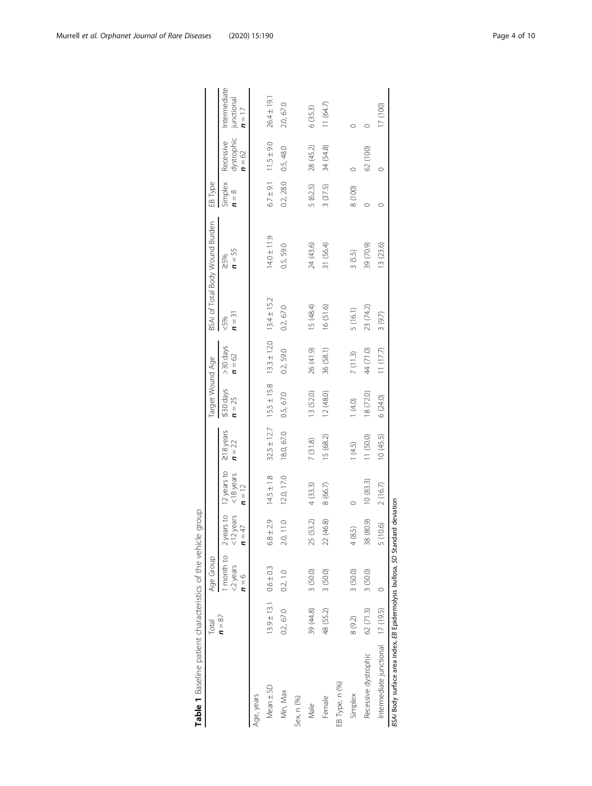<span id="page-3-0"></span>

|                                                                               | Total     | Age Group                                |                          |                                                          |                             | Target Wound Age                                                |                      |                | BSAi of Total Body Wound Burden | EB Type            |                                     |                                        |
|-------------------------------------------------------------------------------|-----------|------------------------------------------|--------------------------|----------------------------------------------------------|-----------------------------|-----------------------------------------------------------------|----------------------|----------------|---------------------------------|--------------------|-------------------------------------|----------------------------------------|
|                                                                               | $n = 87$  | $<$ 2 years<br>$\mathbf{v} = \mathbf{v}$ | $<$ 12 years<br>$n = 47$ | month to 2 years to 12 years to<br><18 years<br>$n = 12$ | $\geq$ 18 years<br>$n = 22$ | $530$ days<br>$n = 25$                                          | >30 days<br>$n = 62$ | $n = 31$<br>5% | $n = 55$<br>>5%                 | Simplex<br>$n = 8$ | dystrophic<br>Recessive<br>$n = 62$ | Intermediate<br>junctional<br>$n = 17$ |
| Age, years                                                                    |           |                                          |                          |                                                          |                             |                                                                 |                      |                |                                 |                    |                                     |                                        |
| Mean ± SD                                                                     |           | $13.9 \pm 13.1$ 0.6 ± 0.3                | $6.8 \pm 2.9$            | $14.5 \pm 1.8$                                           |                             | $32.5 \pm 12.7$ $15.5 \pm 15.8$ $13.3 \pm 12.0$ $13.4 \pm 15.2$ |                      |                | $14.0 \pm 11.9$                 |                    | $6.7 \pm 9.1$ $11.5 \pm 9.0$        | $26.4 \pm 19.1$                        |
| Min, Max                                                                      | 0.2, 67.0 | 0.2, 1.0                                 | $\frac{0}{10}$<br>20,    | 12.0, 17.0                                               | 18.0, 67.0                  | 0.5, 67.0                                                       | 0.2,59.0             | 0.2, 67.0      | 0.5,59.0                        | 0.2, 28.0          | 0.5, 48.0                           | 2.0, 67.0                              |
| Sex, n (%)                                                                    |           |                                          |                          |                                                          |                             |                                                                 |                      |                |                                 |                    |                                     |                                        |
| Male                                                                          | 39 (44.8) | 3 (50.0)                                 | 25 (53.2)                | 4(33.3)                                                  | 7(31.8)                     | 13 (52.0)                                                       | 26 (41.9)            | 15 (48.4)      | 24 (43.6)                       | 5 (62.5)           | 28 (45.2)                           | 6(35.3)                                |
| Female                                                                        | 48 (55.2) | 3(50.0)                                  | 22 (46.8)                | 8 (66.7)                                                 | 15 (68.2)                   | 12 (48.0)                                                       | 36 (58.1)            | 16 (51.6)      | 31 (56.4)                       | 3(37.5)            | 34 (54.8)                           | 11(64.7)                               |
| EB Type, n (%)                                                                |           |                                          |                          |                                                          |                             |                                                                 |                      |                |                                 |                    |                                     |                                        |
| Simplex                                                                       | 8 (9.2)   | 3 (50.0)                                 | 4(8.5)                   |                                                          | 1(4.5)                      | (4.0)                                                           | 7(11.3)              | 5 (16.1)       | 3(5.5)                          | 8 (100)            |                                     |                                        |
| Recessive dystrophic                                                          | 62 (71.3) | 3 (50.0)                                 | 38 (80.9)                | 10(83.3)                                                 | 11 (50.0)                   | 18 (72.0)                                                       | 44 (71.0)            | 23 (74.2)      | 39 (70.9)                       |                    | 62 (100)                            |                                        |
| Intermediate junctional 17 (19.5)                                             |           |                                          | 5 (10.6)                 | 2(16.7)                                                  | 10(45.5)                    | 6 (24.0)                                                        | (1 (17.7)            | 3(9.7)         | 13 (23.6)                       |                    |                                     | 17 (100)                               |
| BSAi Body surface area index, EB Epidermolysis bullosa, SD Standard deviation |           |                                          |                          |                                                          |                             |                                                                 |                      |                |                                 |                    |                                     |                                        |

| ١                                |  |
|----------------------------------|--|
|                                  |  |
|                                  |  |
|                                  |  |
| ראם מפחר מימור                   |  |
| $\overline{ }$                   |  |
| to acilina natiant characterics. |  |
|                                  |  |
|                                  |  |
| )<br>5                           |  |
|                                  |  |
|                                  |  |
|                                  |  |
|                                  |  |
|                                  |  |
|                                  |  |
|                                  |  |
|                                  |  |
|                                  |  |
|                                  |  |
|                                  |  |
|                                  |  |

 $\Omega$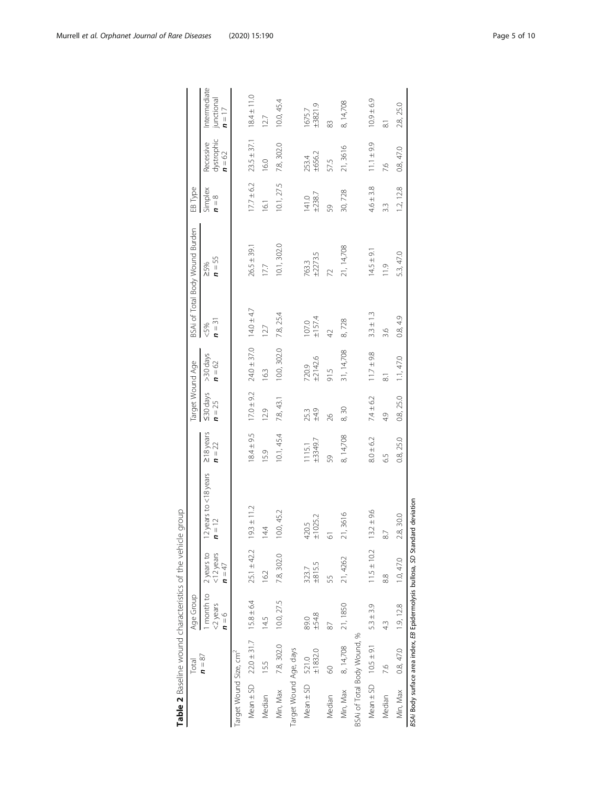<span id="page-4-0"></span>

|                                                                               | Total                                        | Age Group                                                      |                                 |                                   |                       | Target Wound Age                |                      |                 | BSAi of Total Body Wound Burden | EB Type                |                                     |                                        |
|-------------------------------------------------------------------------------|----------------------------------------------|----------------------------------------------------------------|---------------------------------|-----------------------------------|-----------------------|---------------------------------|----------------------|-----------------|---------------------------------|------------------------|-------------------------------------|----------------------------------------|
|                                                                               | $n = 87$                                     | 1 month to 2 years to<br><2 years<br>$\mathbf{u} = \mathbf{v}$ | $<$ 12 years<br>$n = 47$        | 12 years to <18 years<br>$n = 12$ | 218 years<br>$n = 22$ | $50 \, \text{days}$<br>$n = 25$ | >30 days<br>$n = 62$ | $n = 31$<br>&5% | $n = 55$<br>>5%                 | Simplex<br>$n = 8$     | dystrophic<br>Recessive<br>$n = 62$ | Intermediate<br>junctional<br>$n = 17$ |
| Target Wound Size, cm <sup>2</sup>                                            |                                              |                                                                |                                 |                                   |                       |                                 |                      |                 |                                 |                        |                                     |                                        |
|                                                                               | Mean $\pm$ SD $22.0 \pm 31.7$ 15.8 $\pm$ 6.4 |                                                                | $25.1 \pm 42.2$ $19.3 \pm 11.2$ |                                   | $18.4 \pm 9.5$        | $17.0 \pm 9.2$                  | $24.0 \pm 37.0$      | $14.0 \pm 4.7$  | $26.5 \pm 39.1$                 | $17.7 \pm 6.2$         | $23.5 \pm 37.1$                     | $18.4 \pm 11.0$                        |
| Median                                                                        | 15.5                                         | 14.5                                                           | 16.2                            | 14.4                              | 15.9                  | 12.9                            | 16.3                 | 127             | 17.7                            | 16.1                   | 16.0                                | 12.7                                   |
| Min, Max                                                                      | 7.8, 302.0                                   | 10.0, 27.5                                                     | 7.8, 302.0                      | 10.0, 45.2                        | 10.1, 45.4            | 7.8, 43.1                       | 10.0, 302.0          | 7.8, 25.4       | 10.1, 302.0                     | 10.1, 27.5             | 7.8,302.0                           | 10.0, 45.4                             |
| Target Wound Age, days                                                        |                                              |                                                                |                                 |                                   |                       |                                 |                      |                 |                                 |                        |                                     |                                        |
| Mean $\pm$ SD 521.0                                                           | ±1832.0                                      | ±548<br>89.0                                                   | ±815.5<br>323.7                 | $420.5$<br>$\pm 1025.2$           | ±3349.7<br>1115.1     | ±4.9<br>25.3                    | 720.9<br>±2142.6     | ±1574<br>107.0  | ±2273.5<br>763.3                | $141.0$<br>$\pm 238.7$ | ±656.2<br>253.4                     | ±3821.9<br>1675.7                      |
| Median                                                                        | 8                                            | 87                                                             | 55                              | 5                                 | 59                    | 26                              | 91.5                 | $\overline{4}$  | 2                               | 59                     | 57.5                                | 83                                     |
| Min, Max 8, 14,708                                                            |                                              | 21, 1850                                                       | 21, 4262                        | 3616<br>21,                       | 8, 14,708             | 8,30                            | 31, 14,708           | 8,728           | 21, 14,708                      | 30,728                 | 21,3616                             | 8, 14,708                              |
| BSAi of Total Body Wound, %                                                   |                                              |                                                                |                                 |                                   |                       |                                 |                      |                 |                                 |                        |                                     |                                        |
|                                                                               | Mean $\pm$ SD $10.5 \pm 9.1$                 | $5.3 \pm 3.9$                                                  | $11.5 \pm 10.2$                 | $13.2 \pm 9.6$                    | $8.0 \pm 6.2$         | $7.4 \pm 6.2$                   | $11.7 + 9.8$         | $3.3 \pm 1.3$   | $14.5 \pm 9.1$                  | $4.6 \pm 3.8$          | $11.1 \pm 9.9$                      | $10.9 + 6.9$                           |
| Median                                                                        | 7.6                                          | 43                                                             | 88                              | 87                                | 65                    | 4.9                             | $\overline{\infty}$  | 3.6             | $\frac{1}{1}$                   | 33                     | 7.6                                 | $\overline{\circ}$                     |
| Min, Max 0.8, 47.0                                                            |                                              | 1.9, 12.8                                                      | 1.0, 47.0                       | 30.0<br>2.8                       | 0.8, 25.0             | 0.8, 25.0                       | 1.1, 47.0            | 0.8, 4.9        | 5.3, 47.0                       | 1.2, 12.8              | 0.8, 47.0                           | 2.8, 25.0                              |
| BSAi Body surface area index, EB Epidermolysis bullosa, SD Standard deviation |                                              |                                                                |                                 |                                   |                       |                                 |                      |                 |                                 |                        |                                     |                                        |

| 1                                                                                                    |  |
|------------------------------------------------------------------------------------------------------|--|
| )<br>)<br>)                                                                                          |  |
|                                                                                                      |  |
|                                                                                                      |  |
|                                                                                                      |  |
|                                                                                                      |  |
| - CAU שלוכת הבית את הבית המשלח המוכל המוכל היו המוכל המוכל המוכל המוכל היו המוכל המוכל המוכל המוכל ה |  |
|                                                                                                      |  |
| j<br>;                                                                                               |  |
|                                                                                                      |  |
| うこうこう こうこ                                                                                            |  |
|                                                                                                      |  |
|                                                                                                      |  |
| .<br>د                                                                                               |  |
|                                                                                                      |  |
|                                                                                                      |  |
|                                                                                                      |  |
|                                                                                                      |  |
|                                                                                                      |  |
|                                                                                                      |  |
|                                                                                                      |  |
| ŗ                                                                                                    |  |
|                                                                                                      |  |
|                                                                                                      |  |
|                                                                                                      |  |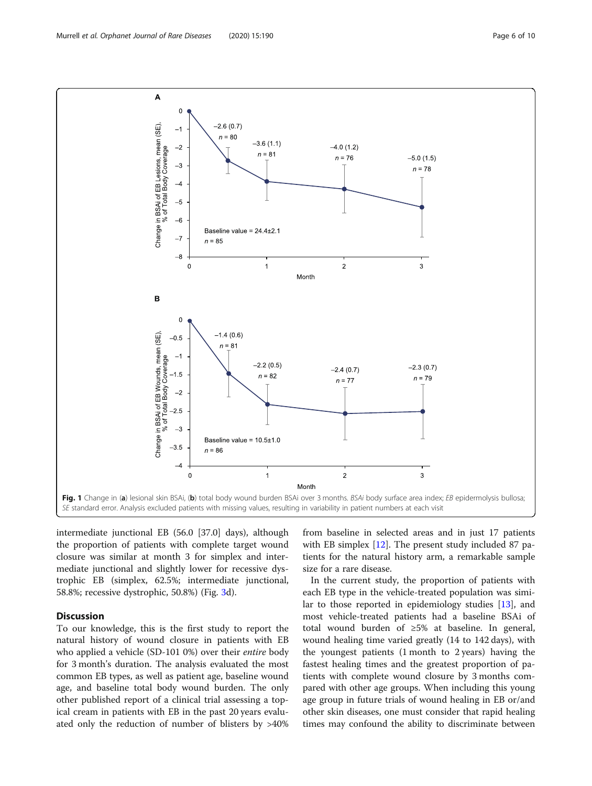intermediate junctional EB (56.0 [37.0] days), although the proportion of patients with complete target wound closure was similar at month 3 for simplex and intermediate junctional and slightly lower for recessive dystrophic EB (simplex, 62.5%; intermediate junctional, 58.8%; recessive dystrophic, 50.8%) (Fig. [3d](#page-7-0)).

# **Discussion**

To our knowledge, this is the first study to report the natural history of wound closure in patients with EB who applied a vehicle (SD-101 0%) over their *entire* body for 3 month's duration. The analysis evaluated the most common EB types, as well as patient age, baseline wound age, and baseline total body wound burden. The only other published report of a clinical trial assessing a topical cream in patients with EB in the past 20 years evaluated only the reduction of number of blisters by >40%

from baseline in selected areas and in just 17 patients with EB simplex [\[12\]](#page-9-0). The present study included 87 patients for the natural history arm, a remarkable sample size for a rare disease.

In the current study, the proportion of patients with each EB type in the vehicle-treated population was similar to those reported in epidemiology studies [\[13\]](#page-9-0), and most vehicle-treated patients had a baseline BSAi of total wound burden of ≥5% at baseline. In general, wound healing time varied greatly (14 to 142 days), with the youngest patients (1 month to 2 years) having the fastest healing times and the greatest proportion of patients with complete wound closure by 3 months compared with other age groups. When including this young age group in future trials of wound healing in EB or/and other skin diseases, one must consider that rapid healing times may confound the ability to discriminate between

<span id="page-5-0"></span>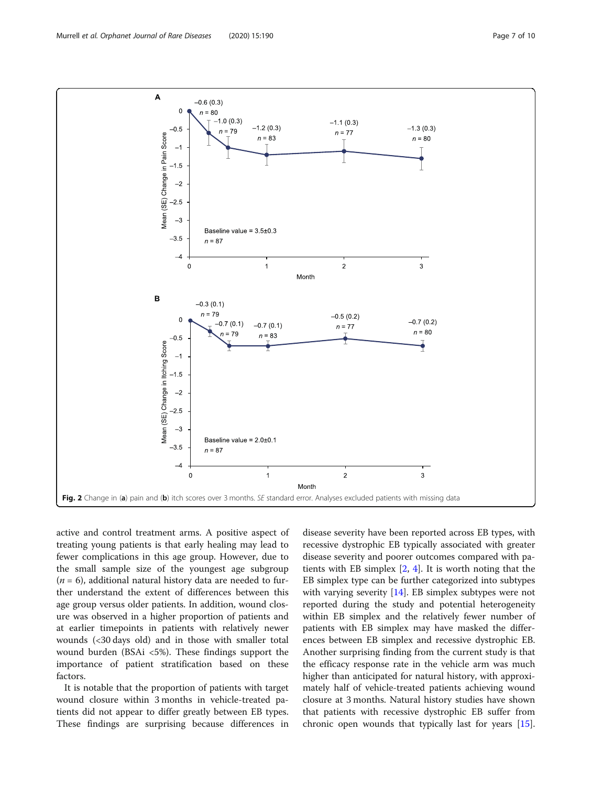<span id="page-6-0"></span>

active and control treatment arms. A positive aspect of treating young patients is that early healing may lead to fewer complications in this age group. However, due to the small sample size of the youngest age subgroup  $(n = 6)$ , additional natural history data are needed to further understand the extent of differences between this age group versus older patients. In addition, wound closure was observed in a higher proportion of patients and at earlier timepoints in patients with relatively newer wounds (<30 days old) and in those with smaller total wound burden (BSAi <5%). These findings support the importance of patient stratification based on these factors.

It is notable that the proportion of patients with target wound closure within 3 months in vehicle-treated patients did not appear to differ greatly between EB types. These findings are surprising because differences in

disease severity have been reported across EB types, with recessive dystrophic EB typically associated with greater disease severity and poorer outcomes compared with patients with EB simplex [[2,](#page-9-0) [4](#page-9-0)]. It is worth noting that the EB simplex type can be further categorized into subtypes with varying severity [\[14\]](#page-9-0). EB simplex subtypes were not reported during the study and potential heterogeneity within EB simplex and the relatively fewer number of patients with EB simplex may have masked the differences between EB simplex and recessive dystrophic EB. Another surprising finding from the current study is that the efficacy response rate in the vehicle arm was much higher than anticipated for natural history, with approximately half of vehicle-treated patients achieving wound closure at 3 months. Natural history studies have shown that patients with recessive dystrophic EB suffer from chronic open wounds that typically last for years [\[15](#page-9-0)].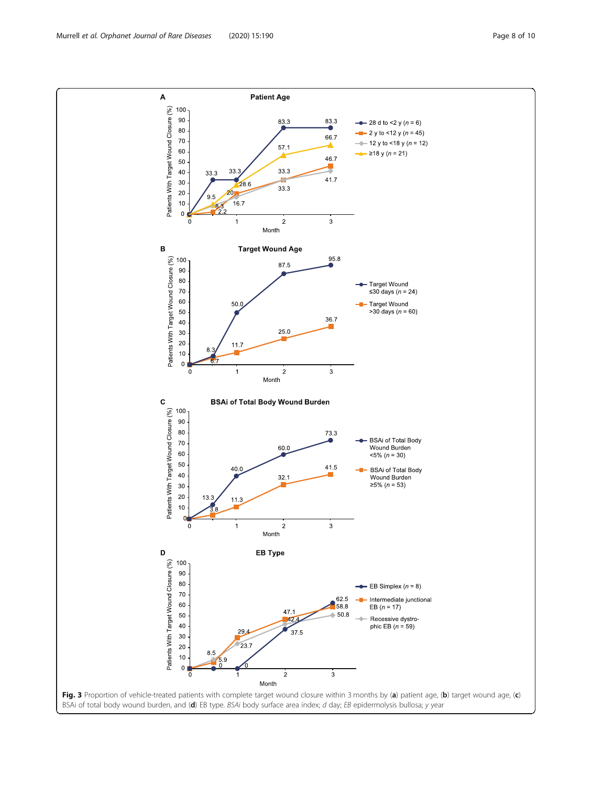<span id="page-7-0"></span>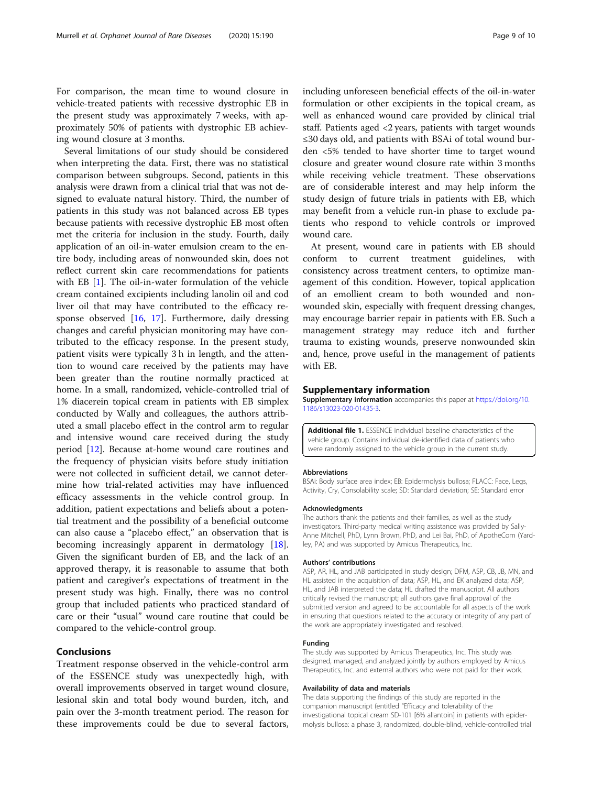<span id="page-8-0"></span>For comparison, the mean time to wound closure in vehicle-treated patients with recessive dystrophic EB in the present study was approximately 7 weeks, with approximately 50% of patients with dystrophic EB achieving wound closure at 3 months.

Several limitations of our study should be considered when interpreting the data. First, there was no statistical comparison between subgroups. Second, patients in this analysis were drawn from a clinical trial that was not designed to evaluate natural history. Third, the number of patients in this study was not balanced across EB types because patients with recessive dystrophic EB most often met the criteria for inclusion in the study. Fourth, daily application of an oil-in-water emulsion cream to the entire body, including areas of nonwounded skin, does not reflect current skin care recommendations for patients with EB [[1](#page-9-0)]. The oil-in-water formulation of the vehicle cream contained excipients including lanolin oil and cod liver oil that may have contributed to the efficacy response observed [[16,](#page-9-0) [17\]](#page-9-0). Furthermore, daily dressing changes and careful physician monitoring may have contributed to the efficacy response. In the present study, patient visits were typically 3 h in length, and the attention to wound care received by the patients may have been greater than the routine normally practiced at home. In a small, randomized, vehicle-controlled trial of 1% diacerein topical cream in patients with EB simplex conducted by Wally and colleagues, the authors attributed a small placebo effect in the control arm to regular and intensive wound care received during the study period [\[12](#page-9-0)]. Because at-home wound care routines and the frequency of physician visits before study initiation were not collected in sufficient detail, we cannot determine how trial-related activities may have influenced efficacy assessments in the vehicle control group. In addition, patient expectations and beliefs about a potential treatment and the possibility of a beneficial outcome can also cause a "placebo effect," an observation that is becoming increasingly apparent in dermatology [\[18](#page-9-0)]. Given the significant burden of EB, and the lack of an approved therapy, it is reasonable to assume that both patient and caregiver's expectations of treatment in the present study was high. Finally, there was no control group that included patients who practiced standard of care or their "usual" wound care routine that could be compared to the vehicle-control group.

# Conclusions

Treatment response observed in the vehicle-control arm of the ESSENCE study was unexpectedly high, with overall improvements observed in target wound closure, lesional skin and total body wound burden, itch, and pain over the 3-month treatment period. The reason for these improvements could be due to several factors,

including unforeseen beneficial effects of the oil-in-water formulation or other excipients in the topical cream, as well as enhanced wound care provided by clinical trial staff. Patients aged <2 years, patients with target wounds ≤30 days old, and patients with BSAi of total wound burden <5% tended to have shorter time to target wound closure and greater wound closure rate within 3 months while receiving vehicle treatment. These observations are of considerable interest and may help inform the study design of future trials in patients with EB, which may benefit from a vehicle run-in phase to exclude patients who respond to vehicle controls or improved wound care.

At present, wound care in patients with EB should conform to current treatment guidelines, with consistency across treatment centers, to optimize management of this condition. However, topical application of an emollient cream to both wounded and nonwounded skin, especially with frequent dressing changes, may encourage barrier repair in patients with EB. Such a management strategy may reduce itch and further trauma to existing wounds, preserve nonwounded skin and, hence, prove useful in the management of patients with EB.

#### Supplementary information

Supplementary information accompanies this paper at [https://doi.org/10.](https://doi.org/10.1186/s13023-020-01435-3) [1186/s13023-020-01435-3](https://doi.org/10.1186/s13023-020-01435-3).

Additional file 1. ESSENCE individual baseline characteristics of the vehicle group. Contains individual de-identified data of patients who were randomly assigned to the vehicle group in the current study.

#### Abbreviations

BSAi: Body surface area index; EB: Epidermolysis bullosa; FLACC: Face, Legs, Activity, Cry, Consolability scale; SD: Standard deviation; SE: Standard error

#### Acknowledgments

The authors thank the patients and their families, as well as the study investigators. Third-party medical writing assistance was provided by Sally-Anne Mitchell, PhD, Lynn Brown, PhD, and Lei Bai, PhD, of ApotheCom (Yardley, PA) and was supported by Amicus Therapeutics, Inc.

#### Authors' contributions

ASP, AR, HL, and JAB participated in study design; DFM, ASP, CB, JB, MN, and HL assisted in the acquisition of data; ASP, HL, and EK analyzed data; ASP, HL, and JAB interpreted the data; HL drafted the manuscript. All authors critically revised the manuscript; all authors gave final approval of the submitted version and agreed to be accountable for all aspects of the work in ensuring that questions related to the accuracy or integrity of any part of the work are appropriately investigated and resolved.

# Funding

The study was supported by Amicus Therapeutics, Inc. This study was designed, managed, and analyzed jointly by authors employed by Amicus Therapeutics, Inc. and external authors who were not paid for their work.

#### Availability of data and materials

The data supporting the findings of this study are reported in the companion manuscript (entitled "Efficacy and tolerability of the investigational topical cream SD-101 [6% allantoin] in patients with epidermolysis bullosa: a phase 3, randomized, double-blind, vehicle-controlled trial